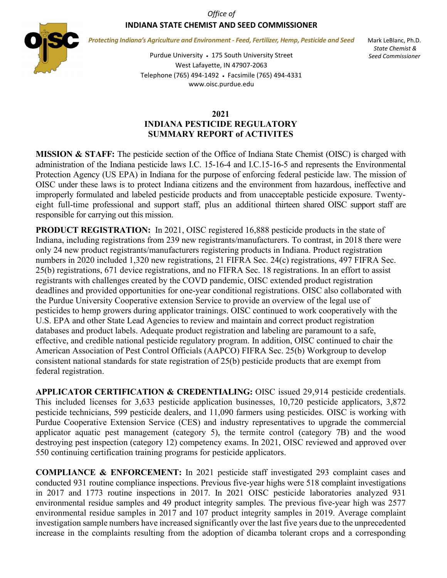*Office of*

## **INDIANA STATE CHEMIST AND SEED COMMISSIONER**



*Protecting Indiana's Agriculture and Environment - Feed, Fertilizer, Hemp, Pesticide and Seed*

Mark LeBlanc, Ph.D. *State Chemist & Seed Commissioner*

Purdue University • 175 South University Street West Lafayette, IN 47907-2063 Telephone (765) 494-1492 • Facsimile (765) 494-4331 www.oisc.purdue.edu

## **2021 INDIANA PESTICIDE REGULATORY SUMMARY REPORT of ACTIVITES**

**MISSION & STAFF:** The pesticide section of the Office of Indiana State Chemist (OISC) is charged with administration of the Indiana pesticide laws I.C. 15-16-4 and I.C.15-16-5 and represents the Environmental Protection Agency (US EPA) in Indiana for the purpose of enforcing federal pesticide law. The mission of OISC under these laws is to protect Indiana citizens and the environment from hazardous, ineffective and improperly formulated and labeled pesticide products and from unacceptable pesticide exposure. Twentyeight full-time professional and support staff, plus an additional thirteen shared OISC support staff are responsible for carrying out this mission.

**PRODUCT REGISTRATION:** In 2021, OISC registered 16,888 pesticide products in the state of Indiana, including registrations from 239 new registrants/manufacturers. To contrast, in 2018 there were only 24 new product registrants/manufacturers registering products in Indiana. Product registration numbers in 2020 included 1,320 new registrations, 21 FIFRA Sec. 24(c) registrations, 497 FIFRA Sec. 25(b) registrations, 671 device registrations, and no FIFRA Sec. 18 registrations. In an effort to assist registrants with challenges created by the COVD pandemic, OISC extended product registration deadlines and provided opportunities for one-year conditional registrations. OISC also collaborated with the Purdue University Cooperative extension Service to provide an overview of the legal use of pesticides to hemp growers during applicator trainings. OISC continued to work cooperatively with the U.S. EPA and other State Lead Agencies to review and maintain and correct product registration databases and product labels. Adequate product registration and labeling are paramount to a safe, effective, and credible national pesticide regulatory program. In addition, OISC continued to chair the American Association of Pest Control Officials (AAPCO) FIFRA Sec. 25(b) Workgroup to develop consistent national standards for state registration of 25(b) pesticide products that are exempt from federal registration.

**APPLICATOR CERTIFICATION & CREDENTIALING:** OISC issued 29,914 pesticide credentials. This included licenses for 3,633 pesticide application businesses, 10,720 pesticide applicators, 3,872 pesticide technicians, 599 pesticide dealers, and 11,090 farmers using pesticides. OISC is working with Purdue Cooperative Extension Service (CES) and industry representatives to upgrade the commercial applicator aquatic pest management (category 5), the termite control (category 7B) and the wood destroying pest inspection (category 12) competency exams. In 2021, OISC reviewed and approved over 550 continuing certification training programs for pesticide applicators.

**COMPLIANCE & ENFORCEMENT:** In 2021 pesticide staff investigated 293 complaint cases and conducted 931 routine compliance inspections. Previous five-year highs were 518 complaint investigations in 2017 and 1773 routine inspections in 2017. In 2021 OISC pesticide laboratories analyzed 931 environmental residue samples and 49 product integrity samples. The previous five-year high was 2577 environmental residue samples in 2017 and 107 product integrity samples in 2019. Average complaint investigation sample numbers have increased significantly over the last five years due to the unprecedented increase in the complaints resulting from the adoption of dicamba tolerant crops and a corresponding